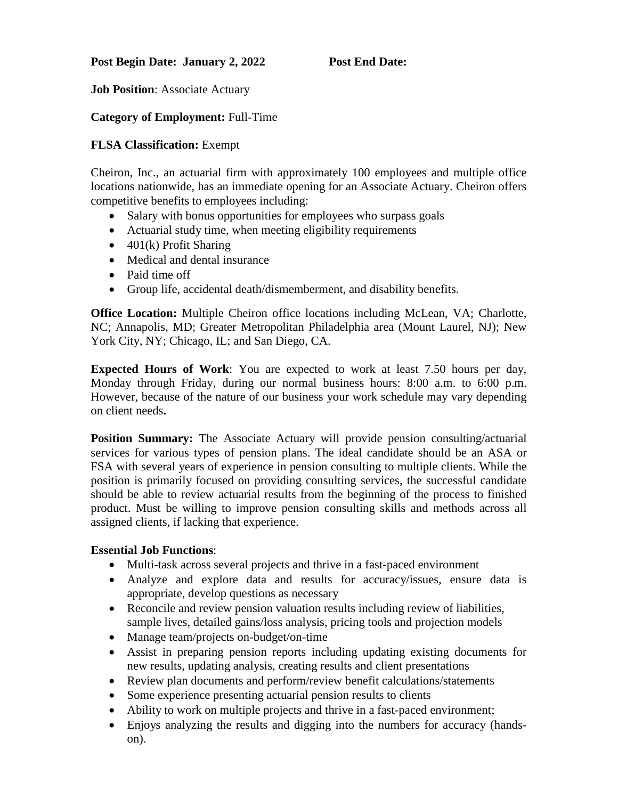## Post Begin Date: January 2, 2022 Post End Date:

**Job Position**: Associate Actuary

## **Category of Employment:** Full-Time

### **FLSA Classification:** Exempt

Cheiron, Inc., an actuarial firm with approximately 100 employees and multiple office locations nationwide, has an immediate opening for an Associate Actuary. Cheiron offers competitive benefits to employees including:

- Salary with bonus opportunities for employees who surpass goals
- Actuarial study time, when meeting eligibility requirements
- 401(k) Profit Sharing
- Medical and dental insurance
- Paid time off
- Group life, accidental death/dismemberment, and disability benefits.

**Office Location:** Multiple Cheiron office locations including McLean, VA; Charlotte, NC; Annapolis, MD; Greater Metropolitan Philadelphia area (Mount Laurel, NJ); New York City, NY; Chicago, IL; and San Diego, CA.

**Expected Hours of Work**: You are expected to work at least 7.50 hours per day, Monday through Friday, during our normal business hours: 8:00 a.m. to 6:00 p.m. However, because of the nature of our business your work schedule may vary depending on client needs**.**

**Position Summary:** The Associate Actuary will provide pension consulting/actuarial services for various types of pension plans. The ideal candidate should be an ASA or FSA with several years of experience in pension consulting to multiple clients. While the position is primarily focused on providing consulting services, the successful candidate should be able to review actuarial results from the beginning of the process to finished product. Must be willing to improve pension consulting skills and methods across all assigned clients, if lacking that experience.

#### **Essential Job Functions**:

- Multi-task across several projects and thrive in a fast-paced environment
- Analyze and explore data and results for accuracy/issues, ensure data is appropriate, develop questions as necessary
- Reconcile and review pension valuation results including review of liabilities, sample lives, detailed gains/loss analysis, pricing tools and projection models
- Manage team/projects on-budget/on-time
- Assist in preparing pension reports including updating existing documents for new results, updating analysis, creating results and client presentations
- Review plan documents and perform/review benefit calculations/statements
- Some experience presenting actuarial pension results to clients
- Ability to work on multiple projects and thrive in a fast-paced environment;
- Enjoys analyzing the results and digging into the numbers for accuracy (handson).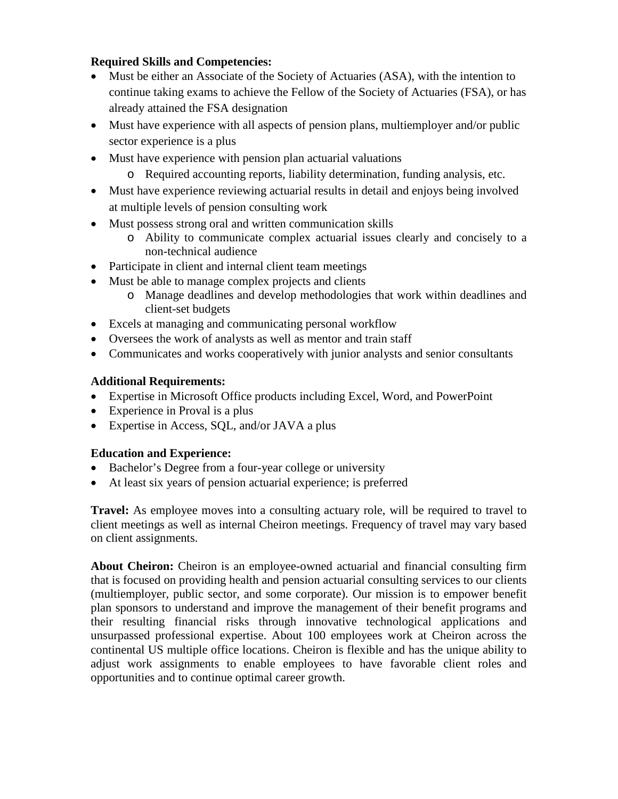# **Required Skills and Competencies:**

- Must be either an Associate of the Society of Actuaries (ASA), with the intention to continue taking exams to achieve the Fellow of the Society of Actuaries (FSA), or has already attained the FSA designation
- Must have experience with all aspects of pension plans, multiemployer and/or public sector experience is a plus
- Must have experience with pension plan actuarial valuations
	- o Required accounting reports, liability determination, funding analysis, etc.
- Must have experience reviewing actuarial results in detail and enjoys being involved at multiple levels of pension consulting work
- Must possess strong oral and written communication skills
	- o Ability to communicate complex actuarial issues clearly and concisely to a non-technical audience
- Participate in client and internal client team meetings
- Must be able to manage complex projects and clients
	- o Manage deadlines and develop methodologies that work within deadlines and client-set budgets
- Excels at managing and communicating personal workflow
- Oversees the work of analysts as well as mentor and train staff
- Communicates and works cooperatively with junior analysts and senior consultants

# **Additional Requirements:**

- Expertise in Microsoft Office products including Excel, Word, and PowerPoint
- Experience in Proval is a plus
- Expertise in Access, SQL, and/or JAVA a plus

# **Education and Experience:**

- Bachelor's Degree from a four-year college or university
- At least six years of pension actuarial experience; is preferred

**Travel:** As employee moves into a consulting actuary role, will be required to travel to client meetings as well as internal Cheiron meetings. Frequency of travel may vary based on client assignments.

**About Cheiron:** Cheiron is an employee-owned actuarial and financial consulting firm that is focused on providing health and pension actuarial consulting services to our clients (multiemployer, public sector, and some corporate). Our mission is to empower benefit plan sponsors to understand and improve the management of their benefit programs and their resulting financial risks through innovative technological applications and unsurpassed professional expertise. About 100 employees work at Cheiron across the continental US multiple office locations. Cheiron is flexible and has the unique ability to adjust work assignments to enable employees to have favorable client roles and opportunities and to continue optimal career growth.